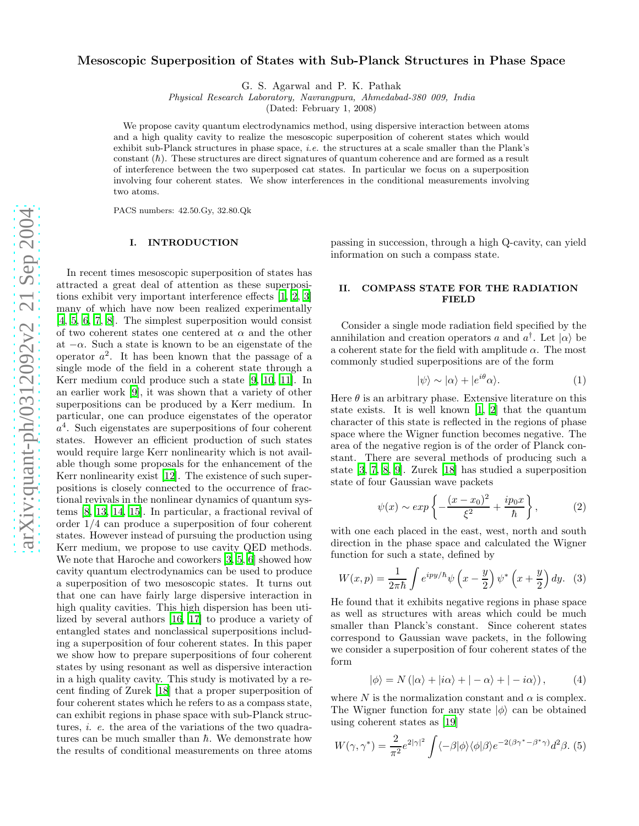# Mesoscopic Superposition of States with Sub-Planck Structures in Phase Space

G. S. Agarwal and P. K. Pathak

Physical Research Laboratory, Navrangpura, Ahmedabad-380 009, India

(Dated: February 1, 2008)

We propose cavity quantum electrodynamics method, using dispersive interaction between atoms and a high quality cavity to realize the mesoscopic superposition of coherent states which would exhibit sub-Planck structures in phase space, *i.e.* the structures at a scale smaller than the Plank's constant  $(\hbar)$ . These structures are direct signatures of quantum coherence and are formed as a result of interference between the two superposed cat states. In particular we focus on a superposition involving four coherent states. We show interferences in the conditional measurements involving two atoms.

PACS numbers: 42.50.Gy, 32.80.Qk

### I. INTRODUCTION

In recent times mesoscopic superposition of states has attracted a great deal of attention as these superpositions exhibit very important interference effects [\[1,](#page-3-0) [2](#page-3-1), [3](#page-3-2)] many of which have now been realized experimentally [\[4,](#page-3-3) [5](#page-3-4), [6,](#page-3-5) [7](#page-3-6), [8\]](#page-3-7). The simplest superposition would consist of two coherent states one centered at  $\alpha$  and the other at  $-\alpha$ . Such a state is known to be an eigenstate of the operator  $a^2$ . It has been known that the passage of a single mode of the field in a coherent state through a Kerr medium could produce such a state [\[9,](#page-3-8) [10](#page-3-9), [11\]](#page-3-10). In an earlier work [\[9](#page-3-8)], it was shown that a variety of other superpositions can be produced by a Kerr medium. In particular, one can produce eigenstates of the operator  $a<sup>4</sup>$ . Such eigenstates are superpositions of four coherent states. However an efficient production of such states would require large Kerr nonlinearity which is not available though some proposals for the enhancement of the Kerr nonlinearity exist [\[12\]](#page-4-0). The existence of such superpositions is closely connected to the occurrence of fractional revivals in the nonlinear dynamics of quantum systems [\[8,](#page-3-7) [13,](#page-4-1) [14,](#page-4-2) [15](#page-4-3)]. In particular, a fractional revival of order 1 /4 can produce a superposition of four coherent states. However instead of pursuing the production using Kerr medium, we propose to use cavity QED methods. We note that Haroche and coworkers [\[3,](#page-3-2) [5](#page-3-4), [6\]](#page-3-5) showed how cavity quantum electrodynamics can be used to produce a superposition of two mesoscopic states. It turns out that one can have fairly large dispersive interaction in high quality cavities. This high dispersion has been utilized by several authors [\[16,](#page-4-4) [17](#page-4-5)] to produce a variety of entangled states and nonclassical superpositions including a superposition of four coherent states. In this paper we show how to prepare superpositions of four coherent states by using resonant as well as dispersive interaction in a high quality cavity. This study is motivated by a recent finding of Zurek [\[18](#page-4-6)] that a proper superposition of four coherent states which he refers to as a compass state, can exhibit regions in phase space with sub-Planck structures, *i. e.* the area of the variations of the two quadratures can be much smaller than  $\hbar$ . We demonstrate how the results of conditional measurements on three atoms

passing in succession, through a high Q-cavity, can yield information on such a compass state.

# II. COMPASS STATE FOR THE RADIATION FIELD

Consider a single mode radiation field specified by the annihilation and creation operators a and  $a^{\dagger}$ . Let  $|\alpha\rangle$  be a coherent state for the field with amplitude  $\alpha$ . The most commonly studied superpositions are of the form

$$
|\psi\rangle \sim |\alpha\rangle + |e^{i\theta}\alpha\rangle. \tag{1}
$$

<span id="page-0-1"></span>Here  $\theta$  is an arbitrary phase. Extensive literature on this state exists. It is well known [\[1](#page-3-0), [2\]](#page-3-1) that the quantum character of this state is reflected in the regions of phase space where the Wigner function becomes negative. The area of the negative region is of the order of Planck constant. There are several methods of producing such a state [\[3](#page-3-2), [7,](#page-3-6) [8](#page-3-7), [9\]](#page-3-8). Zurek [\[18\]](#page-4-6) has studied a superposition state of four Gaussian wave packets

$$
\psi(x) \sim exp\left\{-\frac{(x-x_0)^2}{\xi^2} + \frac{ip_0x}{\hbar}\right\},
$$
\n(2)

with one each placed in the east, west, north and south direction in the phase space and calculated the Wigner function for such a state, defined by

$$
W(x,p) = \frac{1}{2\pi\hbar} \int e^{ipy/\hbar} \psi \left(x - \frac{y}{2}\right) \psi^* \left(x + \frac{y}{2}\right) dy. \tag{3}
$$

He found that it exhibits negative regions in phase space as well as structures with areas which could be much smaller than Planck's constant. Since coherent states correspond to Gaussian wave packets, in the following we consider a superposition of four coherent states of the form

$$
|\phi\rangle = N(|\alpha\rangle + |i\alpha\rangle + |-\alpha\rangle + | -i\alpha\rangle), \quad (4)
$$

<span id="page-0-0"></span>where  $N$  is the normalization constant and  $\alpha$  is complex. The Wigner function for any state  $|\phi\rangle$  can be obtained using coherent states as [\[19\]](#page-4-7)

$$
W(\gamma, \gamma^*) = \frac{2}{\pi^2} e^{2|\gamma|^2} \int \langle -\beta | \phi \rangle \langle \phi | \beta \rangle e^{-2(\beta \gamma^* - \beta^* \gamma)} d^2 \beta. \tag{5}
$$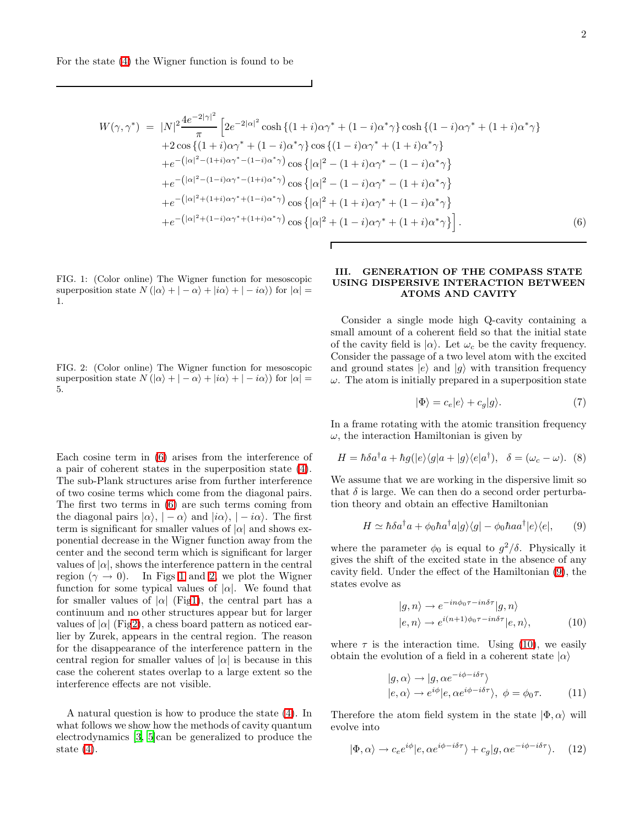<span id="page-1-0"></span>
$$
W(\gamma, \gamma^*) = |N|^2 \frac{4e^{-2|\gamma|^2}}{\pi} \left[ 2e^{-2|\alpha|^2} \cosh\left\{ (1+i)\alpha \gamma^* + (1-i)\alpha^* \gamma \right\} \cosh\left\{ (1-i)\alpha \gamma^* + (1+i)\alpha^* \gamma \right\} + 2\cos\left\{ (1+i)\alpha \gamma^* + (1-i)\alpha^* \gamma \right\} \cos\left\{ (1-i)\alpha \gamma^* + (1+i)\alpha^* \gamma \right\} + e^{-\left(|\alpha|^2 - (1+i)\alpha \gamma^* - (1-i)\alpha^* \gamma\right)} \cos\left\{ |\alpha|^2 - (1+i)\alpha \gamma^* - (1-i)\alpha^* \gamma \right\} + e^{-\left(|\alpha|^2 - (1-i)\alpha \gamma^* - (1+i)\alpha^* \gamma\right)} \cos\left\{ |\alpha|^2 - (1-i)\alpha \gamma^* - (1+i)\alpha^* \gamma \right\} + e^{-\left(|\alpha|^2 + (1+i)\alpha \gamma^* + (1-i)\alpha^* \gamma\right)} \cos\left\{ |\alpha|^2 + (1+i)\alpha \gamma^* + (1-i)\alpha^* \gamma \right\} + e^{-\left(|\alpha|^2 + (1-i)\alpha \gamma^* + (1+i)\alpha^* \gamma\right)} \cos\left\{ |\alpha|^2 + (1-i)\alpha \gamma^* + (1+i)\alpha^* \gamma \right\}.
$$
\n(6)

<span id="page-1-1"></span>FIG. 1: (Color online) The Wigner function for mesoscopic superposition state  $N(\vert \alpha \rangle + \vert -\alpha \rangle + \vert i\alpha \rangle + \vert -i\alpha \rangle$  for  $\vert \alpha \vert =$ 1.

<span id="page-1-2"></span>FIG. 2: (Color online) The Wigner function for mesoscopic superposition state  $N(\vert \alpha \rangle + \vert -\alpha \rangle + \vert i\alpha \rangle + \vert -i\alpha \rangle)$  for  $\vert \alpha \vert =$ 5.

Each cosine term in [\(6\)](#page-1-0) arises from the interference of a pair of coherent states in the superposition state [\(4\)](#page-0-0). The sub-Plank structures arise from further interference of two cosine terms which come from the diagonal pairs. The first two terms in [\(6\)](#page-1-0) are such terms coming from the diagonal pairs  $|\alpha\rangle$ ,  $|-\alpha\rangle$  and  $|i\alpha\rangle$ ,  $|-i\alpha\rangle$ . The first term is significant for smaller values of  $|\alpha|$  and shows exponential decrease in the Wigner function away from the center and the second term which is significant for larger values of  $|\alpha|$ , shows the interference pattern in the central region ( $\gamma \to 0$ ). In Figs [1](#page-1-1) and [2,](#page-1-2) we plot the Wigner function for some typical values of  $|\alpha|$ . We found that for smaller values of  $|\alpha|$  (Fi[g1\)](#page-1-1), the central part has a continuum and no other structures appear but for larger values of  $|\alpha|$  (Fi[g2\)](#page-1-2), a chess board pattern as noticed earlier by Zurek, appears in the central region. The reason for the disappearance of the interference pattern in the central region for smaller values of  $|\alpha|$  is because in this case the coherent states overlap to a large extent so the interference effects are not visible.

A natural question is how to produce the state [\(4\)](#page-0-0). In what follows we show how the methods of cavity quantum electrodynamics [\[3](#page-3-2), [5\]](#page-3-4)can be generalized to produce the state  $(4)$ .

# III. GENERATION OF THE COMPASS STATE USING DISPERSIVE INTERACTION BETWEEN ATOMS AND CAVITY

Consider a single mode high Q-cavity containing a small amount of a coherent field so that the initial state of the cavity field is  $|\alpha\rangle$ . Let  $\omega_c$  be the cavity frequency. Consider the passage of a two level atom with the excited and ground states  $|e\rangle$  and  $|q\rangle$  with transition frequency  $\omega$ . The atom is initially prepared in a superposition state

$$
|\Phi\rangle = c_e|e\rangle + c_g|g\rangle. \tag{7}
$$

In a frame rotating with the atomic transition frequency  $\omega$ , the interaction Hamiltonian is given by

$$
H = \hbar \delta a^{\dagger} a + \hbar g(|e\rangle\langle g|a + |g\rangle\langle e|a^{\dagger}), \quad \delta = (\omega_c - \omega). \tag{8}
$$

<span id="page-1-3"></span>We assume that we are working in the dispersive limit so that  $\delta$  is large. We can then do a second order perturbation theory and obtain an effective Hamiltonian

$$
H \simeq \hbar \delta a^{\dagger} a + \phi_0 \hbar a^{\dagger} a |g\rangle\langle g| - \phi_0 \hbar a a^{\dagger} |e\rangle\langle e|, \qquad (9)
$$

where the parameter  $\phi_0$  is equal to  $g^2/\delta$ . Physically it gives the shift of the excited state in the absence of any cavity field. Under the effect of the Hamiltonian [\(9\)](#page-1-3), the states evolve as

$$
|g, n\rangle \to e^{-in\phi_0 \tau - in\delta \tau} |g, n\rangle
$$
  

$$
|e, n\rangle \to e^{i(n+1)\phi_0 \tau - in\delta \tau} |e, n\rangle,
$$
 (10)

<span id="page-1-4"></span>where  $\tau$  is the interaction time. Using [\(10\)](#page-1-4), we easily obtain the evolution of a field in a coherent state  $|\alpha\rangle$ 

$$
|g, \alpha\rangle \to |g, \alpha e^{-i\phi - i\delta\tau}\rangle
$$
  
\n
$$
|e, \alpha\rangle \to e^{i\phi} |e, \alpha e^{i\phi - i\delta\tau}\rangle, \ \phi = \phi_0 \tau.
$$
 (11)

<span id="page-1-5"></span>Therefore the atom field system in the state  $|\Phi,\alpha\rangle$  will evolve into

$$
|\Phi,\alpha\rangle \to c_e e^{i\phi} |e,\alpha e^{i\phi - i\delta\tau}\rangle + c_g |g,\alpha e^{-i\phi - i\delta\tau}\rangle. \quad (12)
$$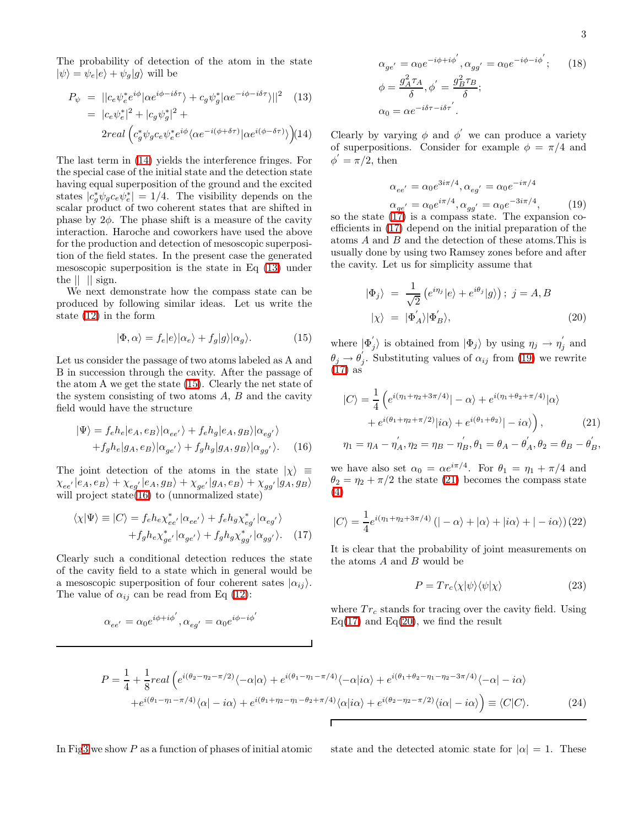<span id="page-2-0"></span>The probability of detection of the atom in the state  $|\psi\rangle = \psi_e|e\rangle + \psi_g|g\rangle$  will be

$$
P_{\psi} = ||c_{e}\psi_{e}^{*}e^{i\phi}|\alpha e^{i\phi - i\delta\tau}\rangle + c_{g}\psi_{g}^{*}|\alpha e^{-i\phi - i\delta\tau}\rangle||^{2} \quad (13)
$$
  
=  $|c_{e}\psi_{e}^{*}|^{2} + |c_{g}\psi_{g}^{*}|^{2} +$   

$$
2real\left(c_{g}^{*}\psi_{g}c_{e}\psi_{e}^{*}e^{i\phi}\langle\alpha e^{-i(\phi + \delta\tau)}|\alpha e^{i(\phi - \delta\tau)}\rangle\right) (14)
$$

The last term in [\(14\)](#page-2-0) yields the interference fringes. For the special case of the initial state and the detection state having equal superposition of the ground and the excited states  $|c_g^*\psi_g c_e \psi_e^*| = 1/4$ . The visibility depends on the scalar product of two coherent states that are shifted in phase by  $2\phi$ . The phase shift is a measure of the cavity interaction. Haroche and coworkers have used the above for the production and detection of mesoscopic superposition of the field states. In the present case the generated mesoscopic superposition is the state in Eq [\(13\)](#page-2-0) under the  $|| \cdot ||$  sign.

<span id="page-2-1"></span>We next demonstrate how the compass state can be produced by following similar ideas. Let us write the state [\(12\)](#page-1-5) in the form

$$
|\Phi, \alpha\rangle = f_e|e\rangle|\alpha_e\rangle + f_g|g\rangle|\alpha_g\rangle. \tag{15}
$$

Let us consider the passage of two atoms labeled as A and B in succession through the cavity. After the passage of the atom A we get the state [\(15\)](#page-2-1). Clearly the net state of the system consisting of two atoms  $A, B$  and the cavity field would have the structure

$$
|\Psi\rangle = f_e h_e |e_A, e_B\rangle |\alpha_{ee'}\rangle + f_e h_g |e_A, g_B\rangle |\alpha_{eg'}\rangle
$$
  
+  $f_g h_e |g_A, e_B\rangle |\alpha_{ge'}\rangle + f_g h_g |g_A, g_B\rangle |\alpha_{gg'}\rangle.$  (16)

<span id="page-2-2"></span>The joint detection of the atoms in the state  $|\chi\rangle \equiv$  $\chi_{ee'}|e_A,e_B\rangle + \chi_{eg'}|e_A,g_B\rangle + \chi_{ge'}|g_A,e_B\rangle + \chi_{gg'}|g_A,g_B\rangle$ will project state $(16)$  to (unnormalized state)

$$
\langle \chi | \Psi \rangle \equiv | C \rangle = f_e h_e \chi_{ee'}^* | \alpha_{ee'} \rangle + f_e h_g \chi_{eg'}^* | \alpha_{eg'} \rangle + f_g h_e \chi_{ge'}^* | \alpha_{ge'} \rangle + f_g h_g \chi_{gg'}^* | \alpha_{gg'} \rangle. \quad (17)
$$

<span id="page-2-3"></span>Clearly such a conditional detection reduces the state of the cavity field to a state which in general would be a mesoscopic superposition of four coherent sates  $|\alpha_{ij}\rangle$ . The value of  $\alpha_{ij}$  can be read from Eq [\(12\)](#page-1-5):

$$
\alpha_{ee^{'}}=\alpha_0e^{i\phi+i\phi^{'}},\alpha_{eg^{'}}=\alpha_0e^{i\phi-i\phi^{'}}
$$

$$
\alpha_{ge'} = \alpha_0 e^{-i\phi + i\phi'}, \alpha_{gg'} = \alpha_0 e^{-i\phi - i\phi'}; \qquad (18)
$$

$$
\phi = \frac{g_A^2 \tau_A}{\delta}, \phi' = \frac{g_B^2 \tau_B}{\delta};
$$

$$
\alpha_0 = \alpha e^{-i\delta \tau - i\delta \tau'}.
$$

Clearly by varying  $\phi$  and  $\phi'$  we can produce a variety of superpositions. Consider for example  $\phi = \pi/4$  and  $\phi' = \pi/2$ , then

$$
\alpha_{ee'} = \alpha_0 e^{3i\pi/4}, \alpha_{eg'} = \alpha_0 e^{-i\pi/4}
$$
  
\n
$$
\alpha_{ge'} = \alpha_0 e^{i\pi/4}, \alpha_{gg'} = \alpha_0 e^{-3i\pi/4},
$$
 (19)

<span id="page-2-4"></span>so the state [\(17\)](#page-2-3) is a compass state. The expansion coefficients in [\(17\)](#page-2-3) depend on the initial preparation of the atoms A and B and the detection of these atoms.This is usually done by using two Ramsey zones before and after the cavity. Let us for simplicity assume that

$$
\begin{aligned}\n|\Phi_j\rangle &= \frac{1}{\sqrt{2}} \left( e^{i\eta_j} |e\rangle + e^{i\theta_j} |g\rangle \right); \ j = A, B \\
|\chi\rangle &= |\Phi'_A\rangle |\Phi'_B\rangle,\n\end{aligned} \tag{20}
$$

<span id="page-2-6"></span>where  $|\Phi'_j$  $j\rangle$  is obtained from  $|\Phi_j\rangle$  by using  $\eta_j \to \eta_j'$  $j$  and  $\theta_j \rightarrow \theta'_j$ , Substituting values of  $\alpha_{ij}$  from [\(19\)](#page-2-4) we rewrite  $(17)$  as

<span id="page-2-5"></span>
$$
|C\rangle = \frac{1}{4} \left( e^{i(\eta_1 + \eta_2 + 3\pi/4)} | -\alpha \rangle + e^{i(\eta_1 + \theta_2 + \pi/4)} | \alpha \rangle \right.
$$
  
+ 
$$
e^{i(\theta_1 + \eta_2 + \pi/2)} |i\alpha\rangle + e^{i(\theta_1 + \theta_2)} | - i\alpha\rangle \right),
$$
 (21)  

$$
\eta_1 = \eta_A - \eta'_A, \eta_2 = \eta_B - \eta'_B, \theta_1 = \theta_A - \theta'_A, \theta_2 = \theta_B - \theta'_B,
$$

we have also set  $\alpha_0 = \alpha e^{i\pi/4}$ . For  $\theta_1 = \eta_1 + \pi/4$  and  $\theta_2 = \eta_2 + \pi/2$  the state [\(21\)](#page-2-5) becomes the compass state [\(4\)](#page-0-0)

<span id="page-2-7"></span>
$$
|C\rangle = \frac{1}{4}e^{i(\eta_1 + \eta_2 + 3\pi/4)}(|-\alpha\rangle + |\alpha\rangle + |i\alpha\rangle + |-i\alpha\rangle)(22)
$$

It is clear that the probability of joint measurements on the atoms  $A$  and  $B$  would be

$$
P = Tr_c \langle \chi | \psi \rangle \langle \psi | \chi \rangle \tag{23}
$$

where  $Tr_c$  stands for tracing over the cavity field. Using  $Eq(17)$  $Eq(17)$  and  $Eq(20)$  $Eq(20)$ , we find the result

$$
P = \frac{1}{4} + \frac{1}{8} real \left( e^{i(\theta_2 - \eta_2 - \pi/2)} \langle -\alpha | \alpha \rangle + e^{i(\theta_1 - \eta_1 - \pi/4)} \langle -\alpha | i\alpha \rangle + e^{i(\theta_1 + \theta_2 - \eta_1 - \eta_2 - 3\pi/4)} \langle -\alpha | -i\alpha \rangle \right)
$$

$$
+ e^{i(\theta_1 - \eta_1 - \pi/4)} \langle \alpha | -i\alpha \rangle + e^{i(\theta_1 + \eta_2 - \eta_1 - \theta_2 + \pi/4)} \langle \alpha | i\alpha \rangle + e^{i(\theta_2 - \eta_2 - \pi/2)} \langle i\alpha | -i\alpha \rangle \right) \equiv \langle C | C \rangle.
$$
(24)

In Fi[g3](#page-3-11) we show P as a function of phases of initial atomic state and the detected atomic state for  $|\alpha| = 1$ . These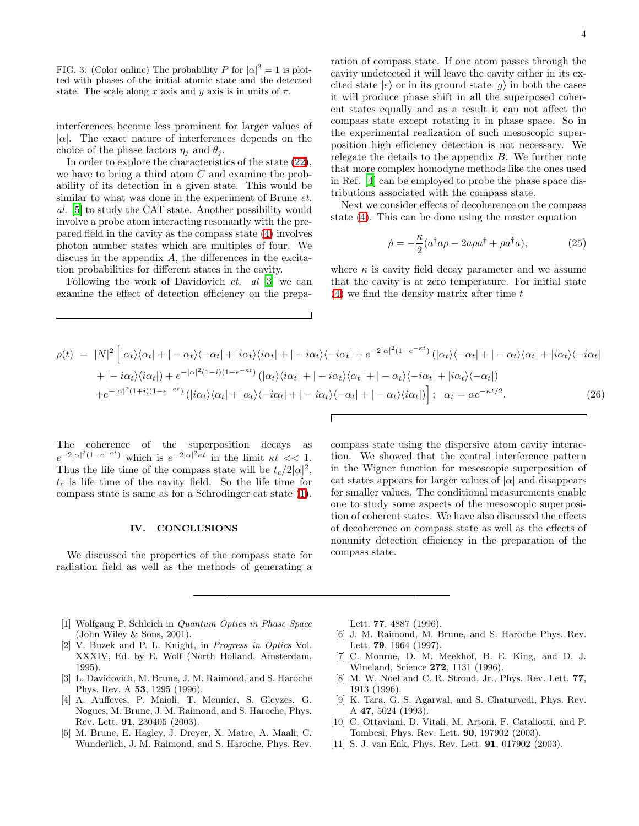<span id="page-3-11"></span>FIG. 3: (Color online) The probability P for  $|\alpha|^2 = 1$  is plotted with phases of the initial atomic state and the detected state. The scale along x axis and y axis is in units of  $\pi$ .

interferences become less prominent for larger values of  $|\alpha|$ . The exact nature of interferences depends on the choice of the phase factors  $\eta_i$  and  $\theta_i$ .

In order to explore the characteristics of the state [\(22\)](#page-2-7), we have to bring a third atom C and examine the probability of its detection in a given state. This would be similar to what was done in the experiment of Brune *et*. al. [\[5\]](#page-3-4) to study the CAT state. Another possibility would involve a probe atom interacting resonantly with the prepared field in the cavity as the compass state [\(4\)](#page-0-0) involves photon number states which are multiples of four. We discuss in the appendix A, the differences in the excitation probabilities for different states in the cavity.

Following the work of Davidovich et. al [\[3\]](#page-3-2) we can examine the effect of detection efficiency on the preparation of compass state. If one atom passes through the cavity undetected it will leave the cavity either in its excited state  $|e\rangle$  or in its ground state  $|g\rangle$  in both the cases it will produce phase shift in all the superposed coherent states equally and as a result it can not affect the compass state except rotating it in phase space. So in the experimental realization of such mesoscopic superposition high efficiency detection is not necessary. We relegate the details to the appendix B. We further note that more complex homodyne methods like the ones used in Ref. [\[4\]](#page-3-3) can be employed to probe the phase space distributions associated with the compass state.

Next we consider effects of decoherence on the compass state [\(4\)](#page-0-0). This can be done using the master equation

$$
\dot{\rho} = -\frac{\kappa}{2} (a^{\dagger} a \rho - 2a \rho a^{\dagger} + \rho a^{\dagger} a), \tag{25}
$$

where  $\kappa$  is cavity field decay parameter and we assume that the cavity is at zero temperature. For initial state  $(4)$  we find the density matrix after time t

$$
\rho(t) = |N|^2 \left[ |\alpha_t\rangle\langle\alpha_t| + |-\alpha_t\rangle\langle-\alpha_t| + |i\alpha_t\rangle\langle i\alpha_t| + |-i\alpha_t\rangle\langle-i\alpha_t| + e^{-2|\alpha|^2(1-e^{-\kappa t})} (|\alpha_t\rangle\langle-\alpha_t| + |- \alpha_t\rangle\langle\alpha_t| + |i\alpha_t\rangle\langle-i\alpha_t| + |i\alpha_t\rangle\langle-i\alpha_t| + |i\alpha_t\rangle\langle-i\alpha_t| + |i\alpha_t\rangle\langle-i\alpha_t| + |i\alpha_t\rangle\langle-i\alpha_t| + |i\alpha_t\rangle\langle-i\alpha_t| + |i\alpha_t\rangle\langle-i\alpha_t| + |i\alpha_t\rangle\langle-i\alpha_t| + |i\alpha_t\rangle\langle-i\alpha_t| + |i\alpha_t\rangle\langle-i\alpha_t| + |i\alpha_t\rangle\langle-i\alpha_t| + |i\alpha_t\rangle\langle-i\alpha_t| + |i\alpha_t\rangle\langle-i\alpha_t| + |i\alpha_t\rangle\langle-i\alpha_t| + |i\alpha_t\rangle\langle i\alpha_t| \right]; \alpha_t = \alpha e^{-\kappa t/2}.
$$
\n(26)

The coherence of the superposition decays as  $e^{-2|\alpha|^2(1-e^{-\kappa t})}$  which is  $e^{-2|\alpha|^2\kappa t}$  in the limit  $\kappa t << 1$ . Thus the life time of the compass state will be  $t_c/2|\alpha|^2$ ,  $t_c$  is life time of the cavity field. So the life time for compass state is same as for a Schrodinger cat state [\(1\)](#page-0-1).

## IV. CONCLUSIONS

We discussed the properties of the compass state for radiation field as well as the methods of generating a compass state using the dispersive atom cavity interaction. We showed that the central interference pattern in the Wigner function for mesoscopic superposition of cat states appears for larger values of  $|\alpha|$  and disappears for smaller values. The conditional measurements enable one to study some aspects of the mesoscopic superposition of coherent states. We have also discussed the effects of decoherence on compass state as well as the effects of nonunity detection efficiency in the preparation of the compass state.

- <span id="page-3-0"></span>[1] Wolfgang P. Schleich in Quantum Optics in Phase Space (John Wiley & Sons, 2001).
- <span id="page-3-1"></span>[2] V. Buzek and P. L. Knight, in Progress in Optics Vol. XXXIV, Ed. by E. Wolf (North Holland, Amsterdam, 1995).
- <span id="page-3-2"></span>[3] L. Davidovich, M. Brune, J. M. Raimond, and S. Haroche Phys. Rev. A 53, 1295 (1996).
- <span id="page-3-3"></span>[4] A. Auffeves, P. Maioli, T. Meunier, S. Gleyzes, G. Nogues, M. Brune, J. M. Raimond, and S. Haroche, Phys. Rev. Lett. 91, 230405 (2003).
- <span id="page-3-4"></span>[5] M. Brune, E. Hagley, J. Dreyer, X. Matre, A. Maali, C. Wunderlich, J. M. Raimond, and S. Haroche, Phys. Rev.

Lett. 77, 4887 (1996).

- <span id="page-3-5"></span>[6] J. M. Raimond, M. Brune, and S. Haroche Phys. Rev. Lett. 79, 1964 (1997).
- <span id="page-3-6"></span>[7] C. Monroe, D. M. Meekhof, B. E. King, and D. J. Wineland, Science 272, 1131 (1996).
- <span id="page-3-7"></span>[8] M. W. Noel and C. R. Stroud, Jr., Phys. Rev. Lett. **77**, 1913 (1996).
- [9] K. Tara, G. S. Agarwal, and S. Chaturvedi, Phys. Rev. A 47, 5024 (1993).
- <span id="page-3-9"></span><span id="page-3-8"></span>[10] C. Ottaviani, D. Vitali, M. Artoni, F. Cataliotti, and P. Tombesi, Phys. Rev. Lett. 90, 197902 (2003).
- <span id="page-3-10"></span>[11] S. J. van Enk, Phys. Rev. Lett. 91, 017902 (2003).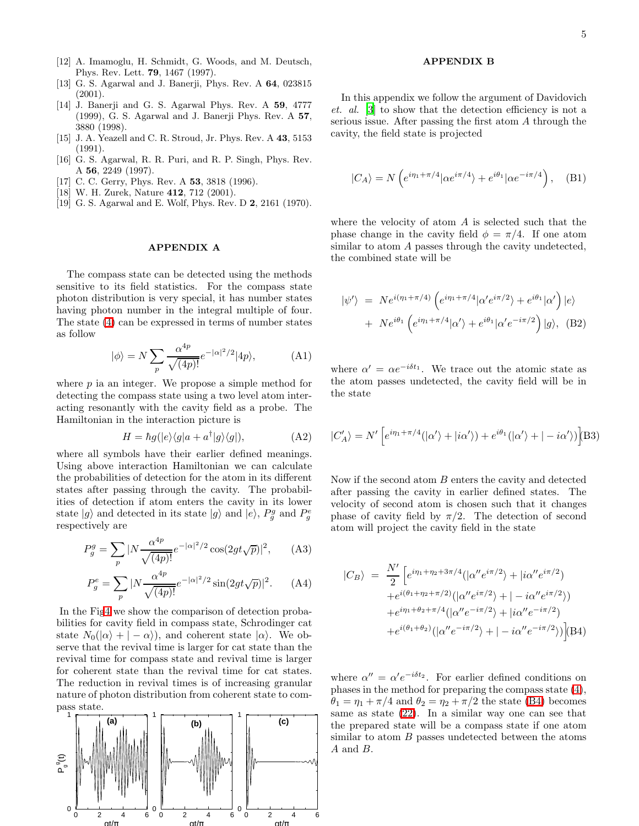- <span id="page-4-0"></span>[12] A. Imamoglu, H. Schmidt, G. Woods, and M. Deutsch, Phys. Rev. Lett. 79, 1467 (1997).
- <span id="page-4-1"></span>[13] G. S. Agarwal and J. Banerji, Phys. Rev. A 64, 023815 (2001).
- <span id="page-4-2"></span>[14] J. Banerji and G. S. Agarwal Phys. Rev. A 59, 4777 (1999), G. S. Agarwal and J. Banerji Phys. Rev. A 57, 3880 (1998).
- <span id="page-4-3"></span>[15] J. A. Yeazell and C. R. Stroud, Jr. Phys. Rev. A 43, 5153 (1991).
- <span id="page-4-4"></span>[16] G. S. Agarwal, R. R. Puri, and R. P. Singh, Phys. Rev. A 56, 2249 (1997).
- <span id="page-4-5"></span>[17] C. C. Gerry, Phys. Rev. A **53**, 3818 (1996).
- <span id="page-4-6"></span>[18] W. H. Zurek, Nature 412, 712 (2001).
- <span id="page-4-7"></span>[19] G. S. Agarwal and E. Wolf, Phys. Rev. D 2, 2161 (1970).

# APPENDIX A

The compass state can be detected using the methods sensitive to its field statistics. For the compass state photon distribution is very special, it has number states having photon number in the integral multiple of four. The state [\(4\)](#page-0-0) can be expressed in terms of number states as follow

$$
|\phi\rangle = N \sum_{p} \frac{\alpha^{4p}}{\sqrt{(4p)!}} e^{-|\alpha|^2/2} |4p\rangle, \tag{A1}
$$

where  $p$  ia an integer. We propose a simple method for detecting the compass state using a two level atom interacting resonantly with the cavity field as a probe. The Hamiltonian in the interaction picture is

$$
H = \hbar g(|e\rangle\langle g|a + a^{\dagger}|g\rangle\langle g|), \tag{A2}
$$

where all symbols have their earlier defined meanings. Using above interaction Hamiltonian we can calculate the probabilities of detection for the atom in its different states after passing through the cavity. The probabilities of detection if atom enters the cavity in its lower state  $|g\rangle$  and detected in its state  $|g\rangle$  and  $|e\rangle$ ,  $P_g^g$  and  $P_g^e$ respectively are

$$
P_g^g = \sum_p |N \frac{\alpha^{4p}}{\sqrt{(4p)!}} e^{-|\alpha|^2/2} \cos(2gt\sqrt{p})|^2, \quad (A3)
$$

$$
P_g^e = \sum_p |N \frac{\alpha^{4p}}{\sqrt{(4p)!}} e^{-|\alpha|^2/2} \sin(2gt\sqrt{p}))^2.
$$
 (A4)

In the Fi[g4](#page-4-8) we show the comparison of detection probabilities for cavity field in compass state, Schrodinger cat state  $N_0(|\alpha\rangle + |-\alpha\rangle)$ , and coherent state  $|\alpha\rangle$ . We observe that the revival time is larger for cat state than the revival time for compass state and revival time is larger for coherent state than the revival time for cat states. The reduction in revival times is of increasing granular nature of photon distribution from coherent state to compass state.

<span id="page-4-8"></span>

## APPENDIX B

In this appendix we follow the argument of Davidovich et. al. [\[3\]](#page-3-2) to show that the detection efficiency is not a serious issue. After passing the first atom A through the cavity, the field state is projected

$$
|C_A\rangle = N\left(e^{i\eta_1 + \pi/4}|\alpha e^{i\pi/4}\rangle + e^{i\theta_1}|\alpha e^{-i\pi/4}\right), \quad \text{(B1)}
$$

where the velocity of atom A is selected such that the phase change in the cavity field  $\phi = \pi/4$ . If one atom similar to atom A passes through the cavity undetected, the combined state will be

$$
|\psi'\rangle = Ne^{i(\eta_1 + \pi/4)} \left(e^{i\eta_1 + \pi/4} |\alpha' e^{i\pi/2}\rangle + e^{i\theta_1} |\alpha'\rangle\right) |e\rangle
$$
  
+ Ne<sup>i\theta\_1</sup>  $\left(e^{i\eta_1 + \pi/4} |\alpha'\rangle + e^{i\theta_1} |\alpha' e^{-i\pi/2}\rangle\right) |g\rangle,$  (B2)

where  $\alpha' = \alpha e^{-i\delta t_1}$ . We trace out the atomic state as the atom passes undetected, the cavity field will be in the state

$$
|C'_{A}\rangle = N' \left[ e^{i\eta_1 + \pi/4} (|\alpha'\rangle + |i\alpha'\rangle) + e^{i\theta_1} (|\alpha'\rangle + | -i\alpha'\rangle) \right] (B3)
$$

Now if the second atom B enters the cavity and detected after passing the cavity in earlier defined states. The velocity of second atom is chosen such that it changes phase of cavity field by  $\pi/2$ . The detection of second atom will project the cavity field in the state

<span id="page-4-9"></span>
$$
|C_B\rangle = \frac{N'}{2} \Big[ e^{i\eta_1 + \eta_2 + 3\pi/4} (|\alpha'' e^{i\pi/2}\rangle + |i\alpha'' e^{i\pi/2}\rangle + e^{i(\theta_1 + \eta_2 + \pi/2)} (|\alpha'' e^{i\pi/2}\rangle + |-i\alpha'' e^{i\pi/2}\rangle) + e^{i\eta_1 + \theta_2 + \pi/4} (|\alpha'' e^{-i\pi/2}\rangle + |i\alpha'' e^{-i\pi/2}\rangle + e^{i(\theta_1 + \theta_2)} (|\alpha'' e^{-i\pi/2}\rangle + |-i\alpha'' e^{-i\pi/2}\rangle) \Big] (B4)
$$

where  $\alpha'' = \alpha' e^{-i\delta t_2}$ . For earlier defined conditions on phases in the method for preparing the compass state [\(4\)](#page-0-0),  $\theta_1 = \eta_1 + \pi/4$  and  $\theta_2 = \eta_2 + \pi/2$  the state [\(B4\)](#page-4-9) becomes same as state [\(22\)](#page-2-7). In a similar way one can see that the prepared state will be a compass state if one atom similar to atom B passes undetected between the atoms A and B.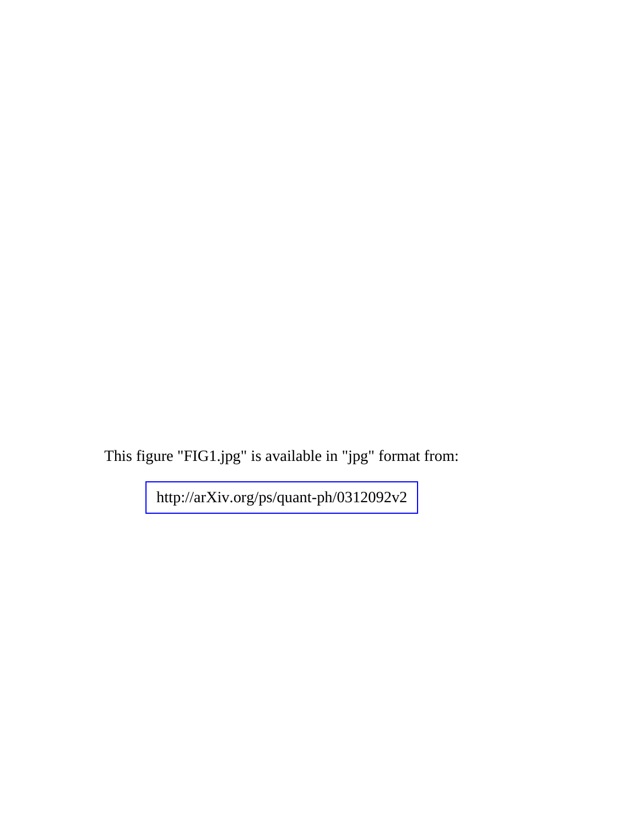This figure "FIG1.jpg" is available in "jpg" format from:

<http://arXiv.org/ps/quant-ph/0312092v2>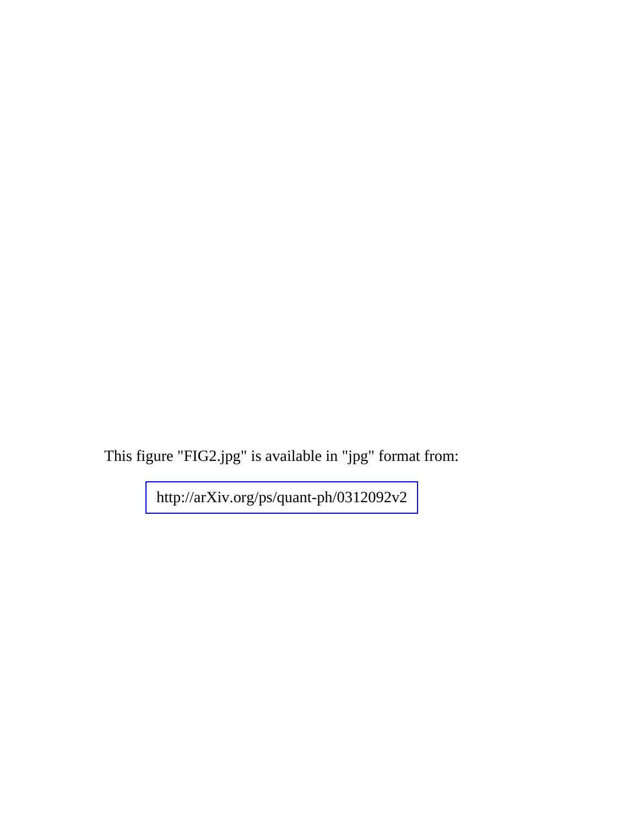This figure "FIG2.jpg" is available in "jpg" format from:

<http://arXiv.org/ps/quant-ph/0312092v2>